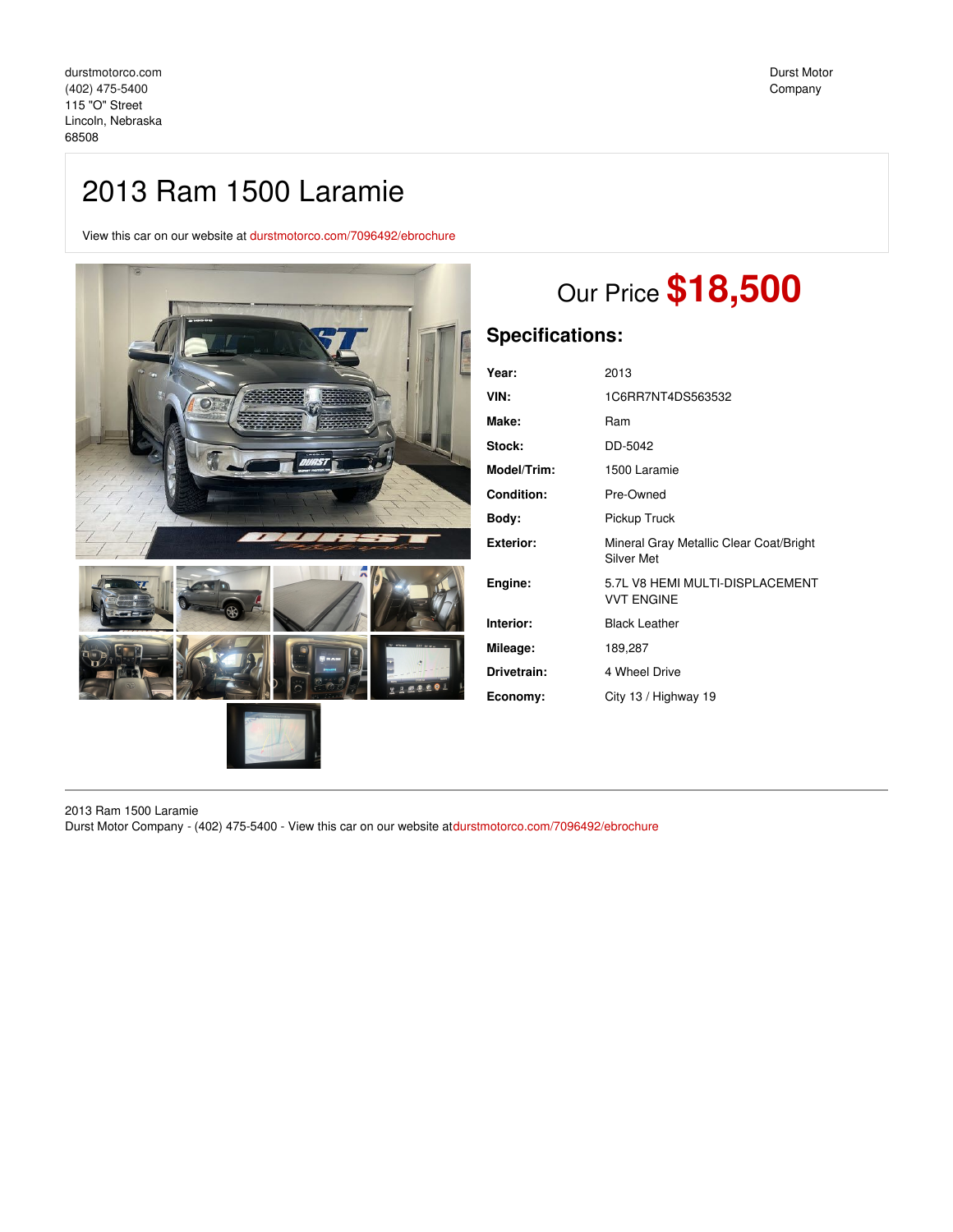# 2013 Ram 1500 Laramie

View this car on our website at [durstmotorco.com/7096492/ebrochure](https://durstmotorco.com/vehicle/7096492/2013-ram-1500-laramie-lincoln-nebraska-68508/7096492/ebrochure)



# Our Price **\$18,500**

## **Specifications:**

| Year:              | 2013                                                  |
|--------------------|-------------------------------------------------------|
| VIN:               | 1C6RR7NT4DS563532                                     |
| Make:              | Ram                                                   |
| Stock:             | DD-5042                                               |
| <b>Model/Trim:</b> | 1500 Laramie                                          |
| <b>Condition:</b>  | Pre-Owned                                             |
| Bodv:              | Pickup Truck                                          |
| Exterior:          | Mineral Gray Metallic Clear Coat/Bright<br>Silver Met |
| Engine:            | 5.7L V8 HEMI MULTI-DISPLACEMENT<br><b>VVT ENGINE</b>  |
| Interior:          | <b>Black Leather</b>                                  |
| Mileage:           | 189,287                                               |
| Drivetrain:        | 4 Wheel Drive                                         |
| Economy:           | City 13 / Highway 19                                  |
|                    |                                                       |

2013 Ram 1500 Laramie Durst Motor Company - (402) 475-5400 - View this car on our website at[durstmotorco.com/7096492/ebrochure](https://durstmotorco.com/vehicle/7096492/2013-ram-1500-laramie-lincoln-nebraska-68508/7096492/ebrochure)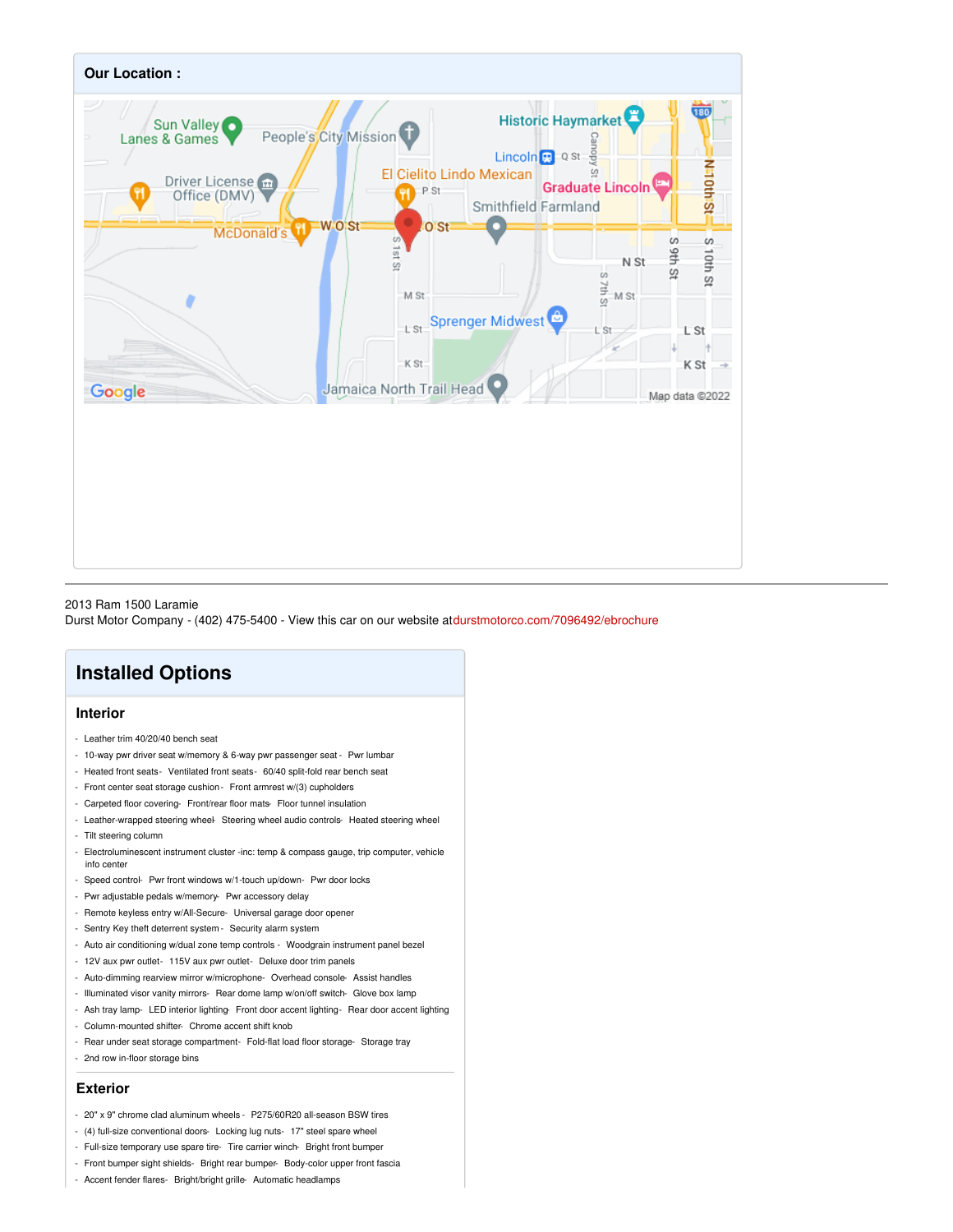

#### 2013 Ram 1500 Laramie

Durst Motor Company - (402) 475-5400 - View this car on our website at[durstmotorco.com/7096492/ebrochure](https://durstmotorco.com/vehicle/7096492/2013-ram-1500-laramie-lincoln-nebraska-68508/7096492/ebrochure)

## **Installed Options**

#### **Interior**

- Leather trim 40/20/40 bench seat
- 10-way pwr driver seat w/memory & 6-way pwr passenger seat Pwr lumbar
- Heated front seats- Ventilated front seats- 60/40 split-fold rear bench seat
- Front center seat storage cushion Front armrest w/(3) cupholders
- Carpeted floor covering- Front/rear floor mats- Floor tunnel insulation
- Leather-wrapped steering wheel Steering wheel audio controls- Heated steering wheel - Tilt steering column
- Electroluminescent instrument cluster -inc: temp & compass gauge, trip computer, vehicle info center
- Speed control- Pwr front windows w/1-touch up/down- Pwr door locks
- Pwr adjustable pedals w/memory- Pwr accessory delay
- Remote keyless entry w/All-Secure- Universal garage door opener
- Sentry Key theft deterrent system Security alarm system
- Auto air conditioning w/dual zone temp controls Woodgrain instrument panel bezel
- 12V aux pwr outlet- 115V aux pwr outlet- Deluxe door trim panels
- Auto-dimming rearview mirror w/microphone- Overhead console- Assist handles
- Illuminated visor vanity mirrors- Rear dome lamp w/on/off switch- Glove box lamp
- Ash tray lamp- LED interior lighting- Front door accent lighting- Rear door accent lighting
- Column-mounted shifter- Chrome accent shift knob
- Rear under seat storage compartment- Fold-flat load floor storage- Storage tray
- 2nd row in-floor storage bins

#### **Exterior**

- 20" x 9" chrome clad aluminum wheels P275/60R20 all-season BSW tires
- (4) full-size conventional doors- Locking lug nuts- 17" steel spare wheel
- Full-size temporary use spare tire- Tire carrier winch- Bright front bumper
- Front bumper sight shields- Bright rear bumper- Body-color upper front fascia
- Accent fender flares- Bright/bright grille- Automatic headlamps